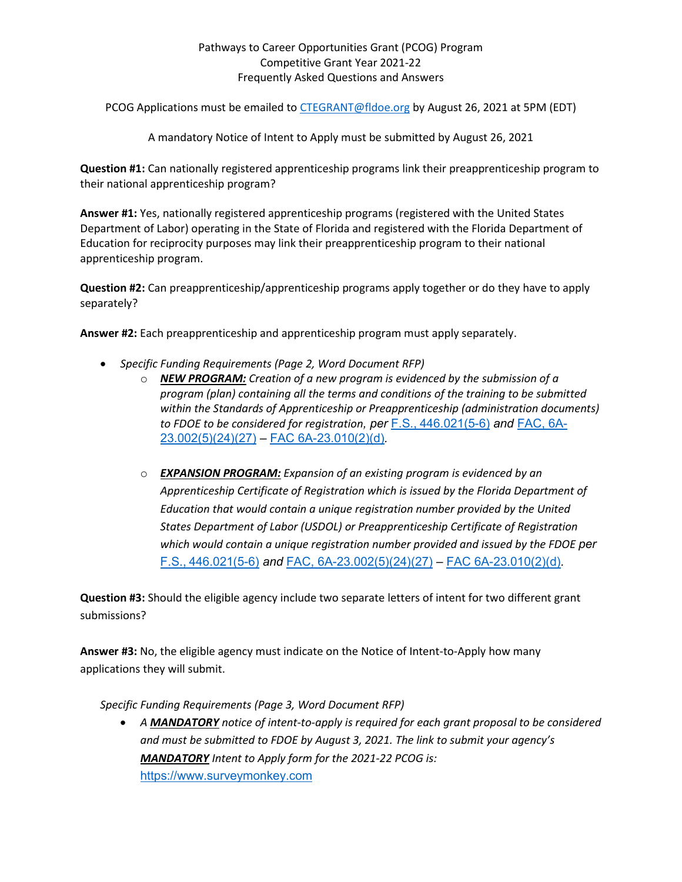## Pathways to Career Opportunities Grant (PCOG) Program Competitive Grant Year 2021-22 Frequently Asked Questions and Answers

PCOG Applications must be emailed to [CTEGRANT@fldoe.org](mailto:CTEGRANT@fldoe.org) by August 26, 2021 at 5PM (EDT)

A mandatory Notice of Intent to Apply must be submitted by August 26, 2021

**Question #1:** Can nationally registered apprenticeship programs link their preapprenticeship program to their national apprenticeship program?

 **Answer #1:** Yes, nationally registered apprenticeship programs (registered with the United States Department of Labor) operating in the State of Florida and registered with the Florida Department of Education for reciprocity purposes may link their preapprenticeship program to their national apprenticeship program.

 **Question #2:** Can preapprenticeship/apprenticeship programs apply together or do they have to apply separately?

**Answer #2:** Each preapprenticeship and apprenticeship program must apply separately.

- *Specific Funding Requirements (Page 2, Word Document RFP)* 
	- [23.002\(5\)\(24\)\(27\)](https://www.flrules.org/gateway/ruleNo.asp?id=6A-23.002) [FAC 6A-23.010\(2\)\(d\)](https://www.flrules.org/gateway/ruleno.asp?id=6A-23.010)*.*  o *NEW PROGRAM: Creation of a new program is evidenced by the submission of a program (plan) containing all the terms and conditions of the training to be submitted within the Standards of Apprenticeship or Preapprenticeship (administration documents) to FDOE to be considered for registration, per* [F.S., 446.021\(5-6\)](http://www.leg.state.fl.us/statutes/index.cfm?App_mode=Display_Statute&URL=0400-0499/0446/0446ContentsIndex.html&StatuteYear=2016&Title=-%3E2016-%3EChapter%20446) *and* [FAC, 6A-](https://www.flrules.org/gateway/ruleNo.asp?id=6A-23.002)
	- [F.S., 446.021\(5-6\)](http://www.leg.state.fl.us/statutes/index.cfm?App_mode=Display_Statute&URL=0400-0499/0446/0446ContentsIndex.html&StatuteYear=2016&Title=-%3E2016-%3EChapter%20446) *and* [FAC, 6A-23.002\(5\)\(24\)\(27\)](https://www.flrules.org/gateway/ruleNo.asp?id=6A-23.002) [FAC 6A-23.010\(2\)\(d\)](https://www.flrules.org/gateway/ruleno.asp?id=6A-23.010)*.*  o *EXPANSION PROGRAM: Expansion of an existing program is evidenced by an Apprenticeship Certificate of Registration which is issued by the Florida Department of Education that would contain a unique registration number provided by the United States Department of Labor (USDOL) or Preapprenticeship Certificate of Registration which would contain a unique registration number provided and issued by the FDOE per*

**Question #3:** Should the eligible agency include two separate letters of intent for two different grant submissions?

 **Answer #3:** No, the eligible agency must indicate on the Notice of Intent-to-Apply how many applications they will submit.

*Specific Funding Requirements (Page 3, Word Document RFP)* 

• *A MANDATORY notice of intent-to-apply is required for each grant proposal to be considered and must be submitted to FDOE by August 3, 2021. The link to submit your agency's MANDATORY Intent to Apply form for the 2021-22 PCOG is:*  [https://www.surveymonkey.com](https://www.surveymonkey.com/r/FCWWBZR)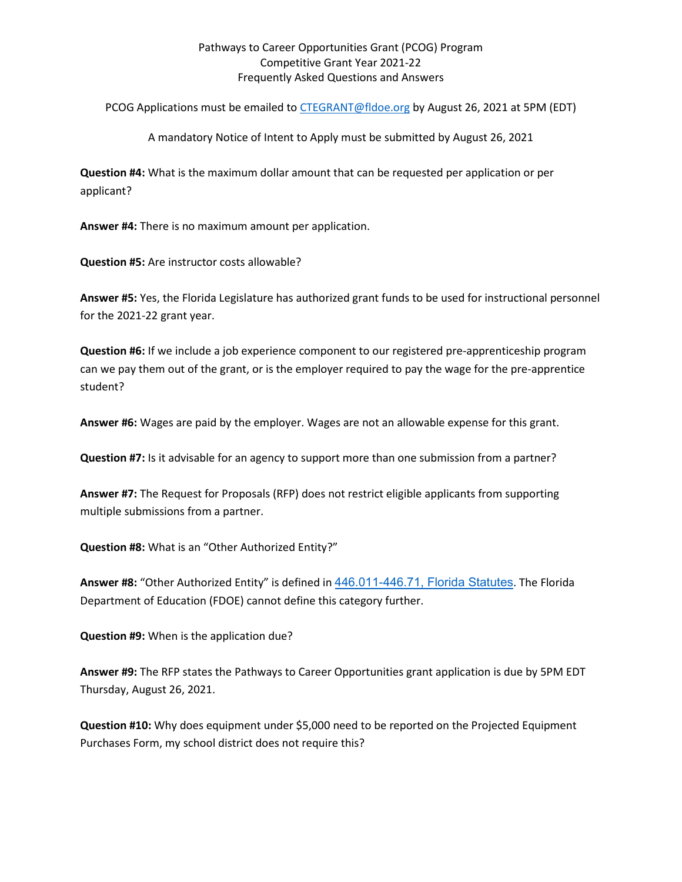## Pathways to Career Opportunities Grant (PCOG) Program Competitive Grant Year 2021-22 Frequently Asked Questions and Answers

PCOG Applications must be emailed to [CTEGRANT@fldoe.org](mailto:CTEGRANT@fldoe.org) by August 26, 2021 at 5PM (EDT)

A mandatory Notice of Intent to Apply must be submitted by August 26, 2021

 **Question #4:** What is the maximum dollar amount that can be requested per application or per applicant?

**Answer #4:** There is no maximum amount per application.

**Question #5:** Are instructor costs allowable?

**Answer #5:** Yes, the Florida Legislature has authorized grant funds to be used for instructional personnel for the 2021-22 grant year.

 **Question #6:** If we include a job experience component to our registered pre-apprenticeship program can we pay them out of the grant, or is the employer required to pay the wage for the pre-apprentice student?

**Answer #6:** Wages are paid by the employer. Wages are not an allowable expense for this grant.

**Question #7:** Is it advisable for an agency to support more than one submission from a partner?

**Answer #7:** The Request for Proposals (RFP) does not restrict eligible applicants from supporting multiple submissions from a partner.

**Question #8:** What is an "Other Authorized Entity?"

 Department of Education (FDOE) cannot define this category further. **Answer #8:** "Other Authorized Entity" is defined in [446.011-446.71, Florida Statutes](http://www.leg.state.fl.us/Statutes/index.cfm?App_mode=Display_Statute&URL=0400-0499/0446/0446.html). The Florida

**Question #9:** When is the application due?

 Thursday, August 26, 2021. **Answer #9:** The RFP states the Pathways to Career Opportunities grant application is due by 5PM EDT

**Question #10:** Why does equipment under \$5,000 need to be reported on the Projected Equipment Purchases Form, my school district does not require this?